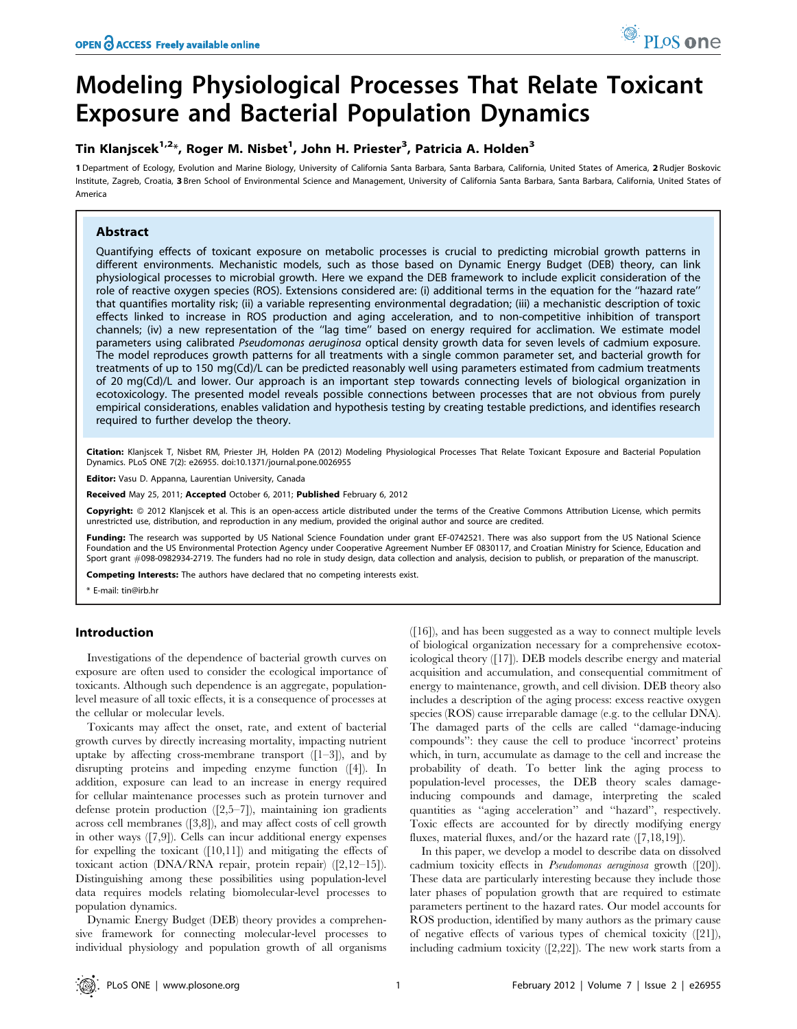# Modeling Physiological Processes That Relate Toxicant Exposure and Bacterial Population Dynamics

## Tin Klanjscek $^{1,2}$ \*, Roger M. Nisbet $^{1}$ , John H. Priester $^{3}$ , Patricia A. Holden $^{3}$

1 Department of Ecology, Evolution and Marine Biology, University of California Santa Barbara, Santa Barbara, California, United States of America, 2 Rudjer Boskovic Institute, Zagreb, Croatia, 3 Bren School of Environmental Science and Management, University of California Santa Barbara, Santa Barbara, California, United States of America

## Abstract

Quantifying effects of toxicant exposure on metabolic processes is crucial to predicting microbial growth patterns in different environments. Mechanistic models, such as those based on Dynamic Energy Budget (DEB) theory, can link physiological processes to microbial growth. Here we expand the DEB framework to include explicit consideration of the role of reactive oxygen species (ROS). Extensions considered are: (i) additional terms in the equation for the ''hazard rate'' that quantifies mortality risk; (ii) a variable representing environmental degradation; (iii) a mechanistic description of toxic effects linked to increase in ROS production and aging acceleration, and to non-competitive inhibition of transport channels; (iv) a new representation of the ''lag time'' based on energy required for acclimation. We estimate model parameters using calibrated Pseudomonas aeruginosa optical density growth data for seven levels of cadmium exposure. The model reproduces growth patterns for all treatments with a single common parameter set, and bacterial growth for treatments of up to 150 mg(Cd)/L can be predicted reasonably well using parameters estimated from cadmium treatments of 20 mg(Cd)/L and lower. Our approach is an important step towards connecting levels of biological organization in ecotoxicology. The presented model reveals possible connections between processes that are not obvious from purely empirical considerations, enables validation and hypothesis testing by creating testable predictions, and identifies research required to further develop the theory.

Citation: Klanjscek T, Nisbet RM, Priester JH, Holden PA (2012) Modeling Physiological Processes That Relate Toxicant Exposure and Bacterial Population Dynamics. PLoS ONE 7(2): e26955. doi:10.1371/journal.pone.0026955

Editor: Vasu D. Appanna, Laurentian University, Canada

Received May 25, 2011; Accepted October 6, 2011; Published February 6, 2012

Copyright: © 2012 Klanjscek et al. This is an open-access article distributed under the terms of the Creative Commons Attribution License, which permits unrestricted use, distribution, and reproduction in any medium, provided the original author and source are credited.

Funding: The research was supported by US National Science Foundation under grant EF-0742521. There was also support from the US National Science Foundation and the US Environmental Protection Agency under Cooperative Agreement Number EF 0830117, and Croatian Ministry for Science, Education and Sport grant #098-0982934-2719. The funders had no role in study design, data collection and analysis, decision to publish, or preparation of the manuscript.

Competing Interests: The authors have declared that no competing interests exist.

\* E-mail: tin@irb.hr

## Introduction

Investigations of the dependence of bacterial growth curves on exposure are often used to consider the ecological importance of toxicants. Although such dependence is an aggregate, populationlevel measure of all toxic effects, it is a consequence of processes at the cellular or molecular levels.

Toxicants may affect the onset, rate, and extent of bacterial growth curves by directly increasing mortality, impacting nutrient uptake by affecting cross-membrane transport  $([1-3])$ , and by disrupting proteins and impeding enzyme function ([4]). In addition, exposure can lead to an increase in energy required for cellular maintenance processes such as protein turnover and defense protein production ([2,5–7]), maintaining ion gradients across cell membranes ([3,8]), and may affect costs of cell growth in other ways ([7,9]). Cells can incur additional energy expenses for expelling the toxicant ([10,11]) and mitigating the effects of toxicant action (DNA/RNA repair, protein repair) ([2,12–15]). Distinguishing among these possibilities using population-level data requires models relating biomolecular-level processes to population dynamics.

Dynamic Energy Budget (DEB) theory provides a comprehensive framework for connecting molecular-level processes to individual physiology and population growth of all organisms ([16]), and has been suggested as a way to connect multiple levels of biological organization necessary for a comprehensive ecotoxicological theory ([17]). DEB models describe energy and material acquisition and accumulation, and consequential commitment of energy to maintenance, growth, and cell division. DEB theory also includes a description of the aging process: excess reactive oxygen species (ROS) cause irreparable damage (e.g. to the cellular DNA). The damaged parts of the cells are called ''damage-inducing compounds'': they cause the cell to produce 'incorrect' proteins which, in turn, accumulate as damage to the cell and increase the probability of death. To better link the aging process to population-level processes, the DEB theory scales damageinducing compounds and damage, interpreting the scaled quantities as ''aging acceleration'' and ''hazard'', respectively. Toxic effects are accounted for by directly modifying energy fluxes, material fluxes, and/or the hazard rate ([7,18,19]).

In this paper, we develop a model to describe data on dissolved cadmium toxicity effects in Pseudomonas aeruginosa growth ([20]). These data are particularly interesting because they include those later phases of population growth that are required to estimate parameters pertinent to the hazard rates. Our model accounts for ROS production, identified by many authors as the primary cause of negative effects of various types of chemical toxicity ([21]), including cadmium toxicity ([2,22]). The new work starts from a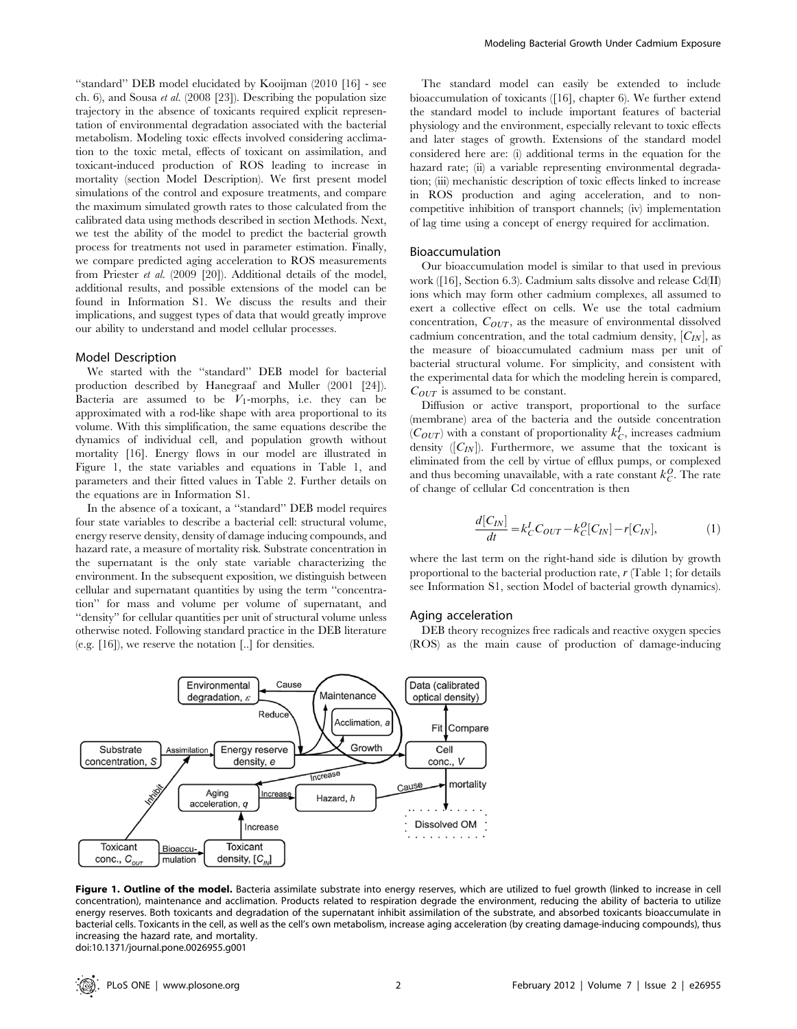''standard'' DEB model elucidated by Kooijman (2010 [16] - see ch. 6), and Sousa et al. (2008 [23]). Describing the population size trajectory in the absence of toxicants required explicit representation of environmental degradation associated with the bacterial metabolism. Modeling toxic effects involved considering acclimation to the toxic metal, effects of toxicant on assimilation, and toxicant-induced production of ROS leading to increase in mortality (section Model Description). We first present model simulations of the control and exposure treatments, and compare the maximum simulated growth rates to those calculated from the calibrated data using methods described in section Methods. Next, we test the ability of the model to predict the bacterial growth process for treatments not used in parameter estimation. Finally, we compare predicted aging acceleration to ROS measurements from Priester et al. (2009 [20]). Additional details of the model, additional results, and possible extensions of the model can be found in Information S1. We discuss the results and their implications, and suggest types of data that would greatly improve our ability to understand and model cellular processes.

#### Model Description

We started with the ''standard'' DEB model for bacterial production described by Hanegraaf and Muller (2001 [24]). Bacteria are assumed to be  $V_1$ -morphs, i.e. they can be approximated with a rod-like shape with area proportional to its volume. With this simplification, the same equations describe the dynamics of individual cell, and population growth without mortality [16]. Energy flows in our model are illustrated in Figure 1, the state variables and equations in Table 1, and parameters and their fitted values in Table 2. Further details on the equations are in Information S1.

In the absence of a toxicant, a ''standard'' DEB model requires four state variables to describe a bacterial cell: structural volume, energy reserve density, density of damage inducing compounds, and hazard rate, a measure of mortality risk. Substrate concentration in the supernatant is the only state variable characterizing the environment. In the subsequent exposition, we distinguish between cellular and supernatant quantities by using the term ''concentration'' for mass and volume per volume of supernatant, and ''density'' for cellular quantities per unit of structural volume unless otherwise noted. Following standard practice in the DEB literature (e.g. [16]), we reserve the notation [..] for densities.

The standard model can easily be extended to include bioaccumulation of toxicants ([16], chapter 6). We further extend the standard model to include important features of bacterial physiology and the environment, especially relevant to toxic effects and later stages of growth. Extensions of the standard model considered here are: (i) additional terms in the equation for the hazard rate; (ii) a variable representing environmental degradation; (iii) mechanistic description of toxic effects linked to increase in ROS production and aging acceleration, and to noncompetitive inhibition of transport channels; (iv) implementation of lag time using a concept of energy required for acclimation.

#### Bioaccumulation

Our bioaccumulation model is similar to that used in previous work ([16], Section 6.3). Cadmium salts dissolve and release Cd(II) ions which may form other cadmium complexes, all assumed to exert a collective effect on cells. We use the total cadmium concentration,  $C_{OUT}$ , as the measure of environmental dissolved cadmium concentration, and the total cadmium density,  $[C_{IN}]$ , as the measure of bioaccumulated cadmium mass per unit of bacterial structural volume. For simplicity, and consistent with the experimental data for which the modeling herein is compared,  $C_{OUT}$  is assumed to be constant.

Diffusion or active transport, proportional to the surface (membrane) area of the bacteria and the outside concentration  $(C_{OUT})$  with a constant of proportionality  $k_C^I$ , increases cadmium density  $([C<sub>IN</sub>])$ . Furthermore, we assume that the toxicant is eliminated from the cell by virtue of efflux pumps, or complexed and thus becoming unavailable, with a rate constant  $k_C^O$ . The rate of change of cellular Cd concentration is then

$$
\frac{d[C_{IN}]}{dt} = k_C^I C_{OUT} - k_C^O[C_{IN}] - r[C_{IN}],
$$
\n(1)

where the last term on the right-hand side is dilution by growth proportional to the bacterial production rate, r (Table 1; for details see Information S1, section Model of bacterial growth dynamics).

#### Aging acceleration

DEB theory recognizes free radicals and reactive oxygen species (ROS) as the main cause of production of damage-inducing



Figure 1. Outline of the model. Bacteria assimilate substrate into energy reserves, which are utilized to fuel growth (linked to increase in cell concentration), maintenance and acclimation. Products related to respiration degrade the environment, reducing the ability of bacteria to utilize energy reserves. Both toxicants and degradation of the supernatant inhibit assimilation of the substrate, and absorbed toxicants bioaccumulate in bacterial cells. Toxicants in the cell, as well as the cell's own metabolism, increase aging acceleration (by creating damage-inducing compounds), thus increasing the hazard rate, and mortality. doi:10.1371/journal.pone.0026955.g001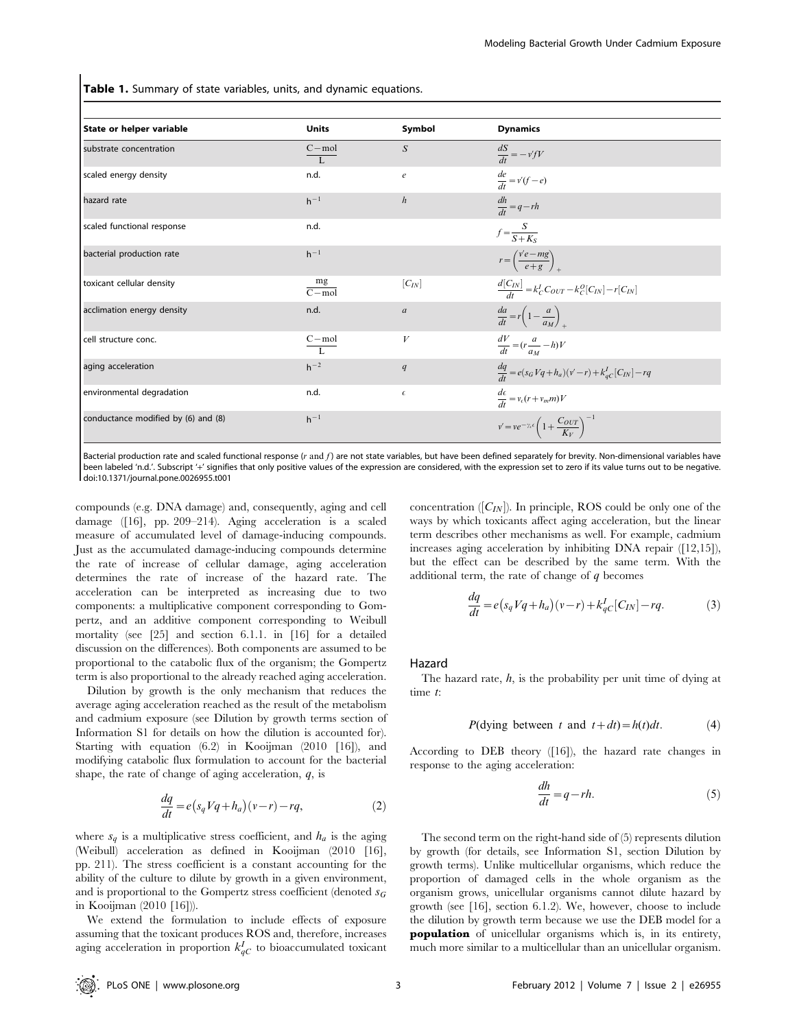Table 1. Summary of state variables, units, and dynamic equations.

| State or helper variable            | <b>Units</b>                                                   | Symbol           | <b>Dynamics</b>                                                                      |
|-------------------------------------|----------------------------------------------------------------|------------------|--------------------------------------------------------------------------------------|
| substrate concentration             | $C - mol$<br>$\overline{\phantom{a}}$ $\overline{\phantom{a}}$ | S                | $\frac{dS}{dt} = -v'fV$                                                              |
| scaled energy density               | n.d.                                                           | $\boldsymbol{e}$ | $\frac{de}{dt} = v'(f-e)$                                                            |
| hazard rate                         | $h^{-1}$                                                       | $\boldsymbol{h}$ | $\frac{dh}{dt} = q - rh$                                                             |
| scaled functional response          | n.d.                                                           |                  | $f = \frac{S}{S + K_S}$                                                              |
| bacterial production rate           | $h^{-1}$                                                       |                  | $r = \left(\frac{v'e - mg}{e + g}\right)_{+}$                                        |
| toxicant cellular density           | $\frac{mg}{C - mol}$                                           | $[C_{IN}]$       | $\frac{d[C_{IN}]}{dt} = k_C^I C_{OUT} - k_C^O[C_{IN}] - r[C_{IN}]$                   |
| acclimation energy density          | n.d.                                                           | $\boldsymbol{a}$ | $\frac{da}{dt} = r \left( 1 - \frac{a}{a_M} \right)$                                 |
| cell structure conc.                | $rac{C - mol}{L}$                                              | $\boldsymbol{V}$ | $\frac{dV}{dt} = (r\frac{a}{du} - h)V$                                               |
| aging acceleration                  | $h^{-2}$                                                       | q                | $\frac{dq}{dt} = e(s_G Vq + h_a)(v' - r) + k_{qC}^I[C_{IN}] - rq$                    |
| environmental degradation           | n.d.                                                           | $\epsilon$       | $\frac{d\epsilon}{dt} = v_{\epsilon}(r + v_{m}m)V$                                   |
| conductance modified by (6) and (8) | $h^{-1}$                                                       |                  | $v' = v e^{-\gamma_{\epsilon} \epsilon} \left( 1 + \frac{C_{OUT}}{K_v} \right)^{-1}$ |

Bacterial production rate and scaled functional response ( $r$  and  $f$ ) are not state variables, but have been defined separately for brevity. Non-dimensional variables have been labeled 'n.d.'. Subscript '+' signifies that only positive values of the expression are considered, with the expression set to zero if its value turns out to be negative. doi:10.1371/journal.pone.0026955.t001

compounds (e.g. DNA damage) and, consequently, aging and cell damage ([16], pp. 209–214). Aging acceleration is a scaled measure of accumulated level of damage-inducing compounds. Just as the accumulated damage-inducing compounds determine the rate of increase of cellular damage, aging acceleration determines the rate of increase of the hazard rate. The acceleration can be interpreted as increasing due to two components: a multiplicative component corresponding to Gompertz, and an additive component corresponding to Weibull mortality (see [25] and section 6.1.1. in [16] for a detailed discussion on the differences). Both components are assumed to be proportional to the catabolic flux of the organism; the Gompertz term is also proportional to the already reached aging acceleration.

Dilution by growth is the only mechanism that reduces the average aging acceleration reached as the result of the metabolism and cadmium exposure (see Dilution by growth terms section of Information S1 for details on how the dilution is accounted for). Starting with equation (6.2) in Kooijman (2010 [16]), and modifying catabolic flux formulation to account for the bacterial shape, the rate of change of aging acceleration,  $q$ , is

$$
\frac{dq}{dt} = e\left(s_q Vq + h_a\right)\left(v - r\right) - rq,\tag{2}
$$

where  $s_a$  is a multiplicative stress coefficient, and  $h_a$  is the aging (Weibull) acceleration as defined in Kooijman (2010 [16], pp. 211). The stress coefficient is a constant accounting for the ability of the culture to dilute by growth in a given environment, and is proportional to the Gompertz stress coefficient (denoted  $s<sub>G</sub>$ in Kooijman (2010 [16])).

We extend the formulation to include effects of exposure assuming that the toxicant produces ROS and, therefore, increases aging acceleration in proportion  $k_{qC}^{I}$  to bioaccumulated toxicant

concentration  $([C_{IN}])$ . In principle, ROS could be only one of the ways by which toxicants affect aging acceleration, but the linear term describes other mechanisms as well. For example, cadmium increases aging acceleration by inhibiting DNA repair ([12,15]), but the effect can be described by the same term. With the additional term, the rate of change of  $q$  becomes

$$
\frac{dq}{dt} = e\left(s_q Vq + h_a\right)\left(v - r\right) + k_{qC}^I[C_{IN}] - rq.\tag{3}
$$

#### Hazard

The hazard rate,  $h$ , is the probability per unit time of dying at time t:

$$
P(\text{dying between } t \text{ and } t + dt) = h(t)dt. \tag{4}
$$

According to DEB theory ([16]), the hazard rate changes in response to the aging acceleration:

$$
\frac{dh}{dt} = q - rh.
$$
\n(5)

The second term on the right-hand side of (5) represents dilution by growth (for details, see Information S1, section Dilution by growth terms). Unlike multicellular organisms, which reduce the proportion of damaged cells in the whole organism as the organism grows, unicellular organisms cannot dilute hazard by growth (see [16], section 6.1.2). We, however, choose to include the dilution by growth term because we use the DEB model for a population of unicellular organisms which is, in its entirety, much more similar to a multicellular than an unicellular organism.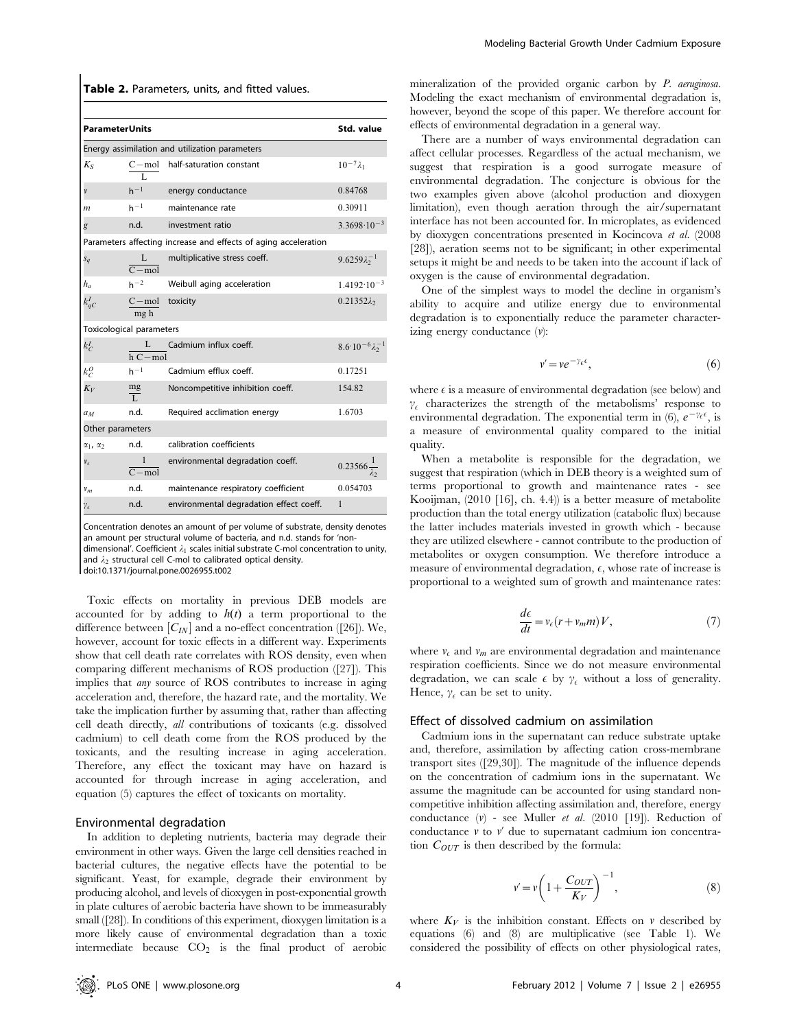Table 2. Parameters, units, and fitted values.

| <b>ParameterUnits</b>                                           |                                      |                                         | Std. value                         |  |
|-----------------------------------------------------------------|--------------------------------------|-----------------------------------------|------------------------------------|--|
| Energy assimilation and utilization parameters                  |                                      |                                         |                                    |  |
| $K_{S}$                                                         |                                      | $C$ -mol half-saturation constant       | $10^{-7} \lambda_1$                |  |
| $\mathbf{v}$                                                    |                                      | $h^{-1}$ energy conductance             | 0.84768                            |  |
| $\boldsymbol{m}$                                                |                                      | $h^{-1}$ maintenance rate               | 0.30911                            |  |
| g                                                               | n.d.                                 | investment ratio                        | $3.3698 \cdot 10^{-3}$             |  |
| Parameters affecting increase and effects of aging acceleration |                                      |                                         |                                    |  |
| $S_{q}$                                                         | L<br>$C - mol$                       | multiplicative stress coeff.            | 9.6259 $\lambda_2^{-1}$            |  |
| $h_a$                                                           |                                      | $h^{-2}$ Weibull aging acceleration     | $1.4192 \cdot 10^{-3}$             |  |
| $k_{qC}^I$                                                      | $C$ -mol toxicity<br>mgh             |                                         | $0.21352\lambda_2$                 |  |
| Toxicological parameters                                        |                                      |                                         |                                    |  |
| $k_C^I$                                                         | L<br>$h_{C-mod}$                     | Cadmium influx coeff.                   | $8.6 \cdot 10^{-6} \lambda_2^{-1}$ |  |
| $k_C^O$                                                         | $h^{-1}$                             | Cadmium efflux coeff.                   | 0.17251                            |  |
| $K_V$                                                           | $\frac{mg}{L}$                       | Noncompetitive inhibition coeff.        | 154.82                             |  |
| $a_M$                                                           | n.d.                                 | Required acclimation energy             | 1.6703                             |  |
| Other parameters                                                |                                      |                                         |                                    |  |
| $\alpha_1$ , $\alpha_2$                                         | n.d.                                 | calibration coefficients                |                                    |  |
| $v_{\epsilon}$                                                  | $\mathbf{1}$<br>$\overline{C - mol}$ | environmental degradation coeff.        | 0.23566                            |  |
| $v_m$                                                           | n.d.                                 | maintenance respiratory coefficient     | 0.054703                           |  |
| $\gamma_{\epsilon}$                                             | n.d.                                 | environmental degradation effect coeff. | $\mathbf{1}$                       |  |

Concentration denotes an amount of per volume of substrate, density denotes an amount per structural volume of bacteria, and n.d. stands for 'non-

dimensional'. Coefficient  $\lambda_1$  scales initial substrate C-mol concentration to unity, and  $\lambda_2$  structural cell C-mol to calibrated optical density.

doi:10.1371/journal.pone.0026955.t002

Toxic effects on mortality in previous DEB models are accounted for by adding to  $h(t)$  a term proportional to the difference between  $[C_{I\!N}]$  and a no-effect concentration ([26]). We, however, account for toxic effects in a different way. Experiments show that cell death rate correlates with ROS density, even when comparing different mechanisms of ROS production ([27]). This implies that any source of ROS contributes to increase in aging acceleration and, therefore, the hazard rate, and the mortality. We take the implication further by assuming that, rather than affecting cell death directly, all contributions of toxicants (e.g. dissolved cadmium) to cell death come from the ROS produced by the toxicants, and the resulting increase in aging acceleration. Therefore, any effect the toxicant may have on hazard is accounted for through increase in aging acceleration, and equation (5) captures the effect of toxicants on mortality.

#### Environmental degradation

In addition to depleting nutrients, bacteria may degrade their environment in other ways. Given the large cell densities reached in bacterial cultures, the negative effects have the potential to be significant. Yeast, for example, degrade their environment by producing alcohol, and levels of dioxygen in post-exponential growth in plate cultures of aerobic bacteria have shown to be immeasurably small ([28]). In conditions of this experiment, dioxygen limitation is a more likely cause of environmental degradation than a toxic intermediate because  $CO<sub>2</sub>$  is the final product of aerobic mineralization of the provided organic carbon by P. aeruginosa. Modeling the exact mechanism of environmental degradation is, however, beyond the scope of this paper. We therefore account for effects of environmental degradation in a general way.

There are a number of ways environmental degradation can affect cellular processes. Regardless of the actual mechanism, we suggest that respiration is a good surrogate measure of environmental degradation. The conjecture is obvious for the two examples given above (alcohol production and dioxygen limitation), even though aeration through the air/supernatant interface has not been accounted for. In microplates, as evidenced by dioxygen concentrations presented in Kocincova et al. (2008 [28]), aeration seems not to be significant; in other experimental setups it might be and needs to be taken into the account if lack of oxygen is the cause of environmental degradation.

One of the simplest ways to model the decline in organism's ability to acquire and utilize energy due to environmental degradation is to exponentially reduce the parameter characterizing energy conductance  $(v)$ :

$$
v' = v e^{-\gamma_{\epsilon} \epsilon},\tag{6}
$$

where  $\epsilon$  is a measure of environmental degradation (see below) and  $\gamma_{\epsilon}$  characterizes the strength of the metabolisms' response to environmental degradation. The exponential term in (6),  $e^{-\gamma_{\epsilon} \epsilon}$ , is a measure of environmental quality compared to the initial quality.

When a metabolite is responsible for the degradation, we suggest that respiration (which in DEB theory is a weighted sum of terms proportional to growth and maintenance rates - see Kooijman, (2010 [16], ch. 4.4)) is a better measure of metabolite production than the total energy utilization (catabolic flux) because the latter includes materials invested in growth which - because they are utilized elsewhere - cannot contribute to the production of metabolites or oxygen consumption. We therefore introduce a measure of environmental degradation,  $\epsilon$ , whose rate of increase is proportional to a weighted sum of growth and maintenance rates:

$$
\frac{d\epsilon}{dt} = v_{\epsilon}(r + v_m m)V,\tag{7}
$$

where  $v_{\epsilon}$  and  $v_m$  are environmental degradation and maintenance respiration coefficients. Since we do not measure environmental degradation, we can scale  $\epsilon$  by  $\gamma_{\epsilon}$  without a loss of generality. Hence,  $\gamma_{\epsilon}$  can be set to unity.

## Effect of dissolved cadmium on assimilation

Cadmium ions in the supernatant can reduce substrate uptake and, therefore, assimilation by affecting cation cross-membrane transport sites ([29,30]). The magnitude of the influence depends on the concentration of cadmium ions in the supernatant. We assume the magnitude can be accounted for using standard noncompetitive inhibition affecting assimilation and, therefore, energy conductance  $(v)$  - see Muller *et al.* (2010 [19]). Reduction of conductance  $\nu$  to  $\nu'$  due to supernatant cadmium ion concentration  $C_{OUT}$  is then described by the formula:

$$
v' = v \left( 1 + \frac{C_{OUT}}{K_V} \right)^{-1},\tag{8}
$$

where  $K_V$  is the inhibition constant. Effects on v described by equations (6) and (8) are multiplicative (see Table 1). We considered the possibility of effects on other physiological rates,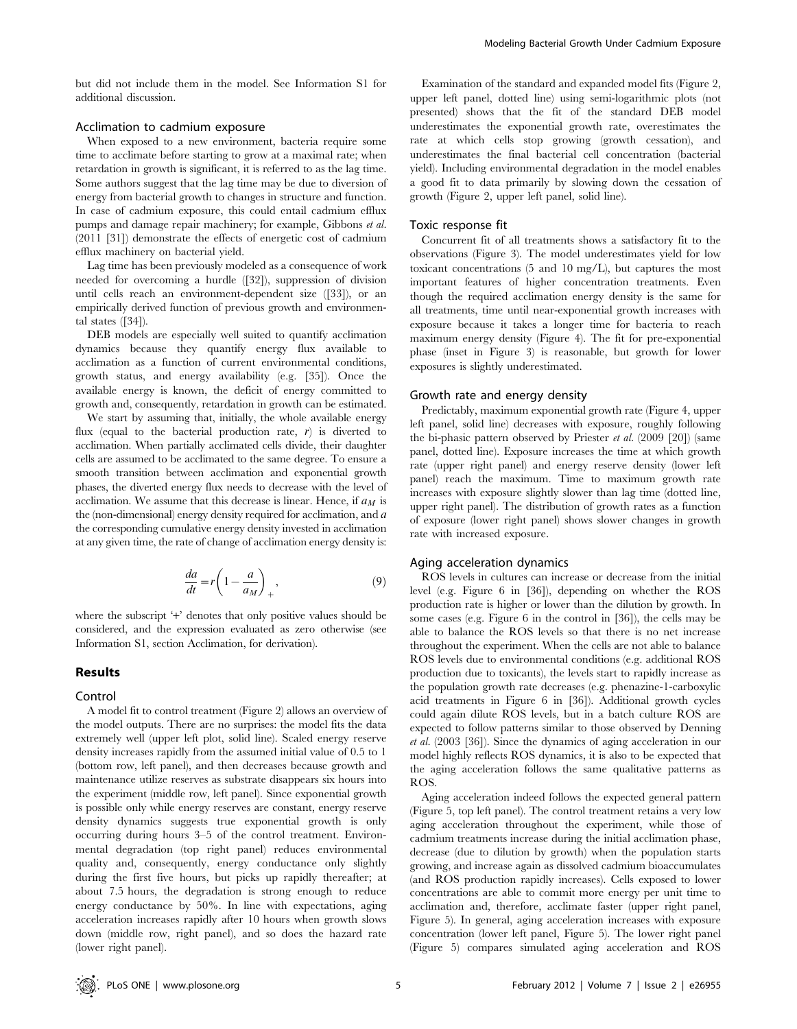but did not include them in the model. See Information S1 for additional discussion.

## Acclimation to cadmium exposure

When exposed to a new environment, bacteria require some time to acclimate before starting to grow at a maximal rate; when retardation in growth is significant, it is referred to as the lag time. Some authors suggest that the lag time may be due to diversion of energy from bacterial growth to changes in structure and function. In case of cadmium exposure, this could entail cadmium efflux pumps and damage repair machinery; for example, Gibbons et al. (2011 [31]) demonstrate the effects of energetic cost of cadmium efflux machinery on bacterial yield.

Lag time has been previously modeled as a consequence of work needed for overcoming a hurdle ([32]), suppression of division until cells reach an environment-dependent size ([33]), or an empirically derived function of previous growth and environmental states ([34]).

DEB models are especially well suited to quantify acclimation dynamics because they quantify energy flux available to acclimation as a function of current environmental conditions, growth status, and energy availability (e.g. [35]). Once the available energy is known, the deficit of energy committed to growth and, consequently, retardation in growth can be estimated.

We start by assuming that, initially, the whole available energy flux (equal to the bacterial production rate,  $r$ ) is diverted to acclimation. When partially acclimated cells divide, their daughter cells are assumed to be acclimated to the same degree. To ensure a smooth transition between acclimation and exponential growth phases, the diverted energy flux needs to decrease with the level of acclimation. We assume that this decrease is linear. Hence, if  $a<sub>M</sub>$  is the (non-dimensional) energy density required for acclimation, and  $a$ the corresponding cumulative energy density invested in acclimation at any given time, the rate of change of acclimation energy density is:

$$
\frac{da}{dt} = r \left( 1 - \frac{a}{a_M} \right)_+, \tag{9}
$$

where the subscript '+' denotes that only positive values should be considered, and the expression evaluated as zero otherwise (see Information S1, section Acclimation, for derivation).

## Results

### Control

A model fit to control treatment (Figure 2) allows an overview of the model outputs. There are no surprises: the model fits the data extremely well (upper left plot, solid line). Scaled energy reserve density increases rapidly from the assumed initial value of 0.5 to 1 (bottom row, left panel), and then decreases because growth and maintenance utilize reserves as substrate disappears six hours into the experiment (middle row, left panel). Since exponential growth is possible only while energy reserves are constant, energy reserve density dynamics suggests true exponential growth is only occurring during hours 3–5 of the control treatment. Environmental degradation (top right panel) reduces environmental quality and, consequently, energy conductance only slightly during the first five hours, but picks up rapidly thereafter; at about 7.5 hours, the degradation is strong enough to reduce energy conductance by 50%. In line with expectations, aging acceleration increases rapidly after 10 hours when growth slows down (middle row, right panel), and so does the hazard rate (lower right panel).

Examination of the standard and expanded model fits (Figure 2, upper left panel, dotted line) using semi-logarithmic plots (not presented) shows that the fit of the standard DEB model underestimates the exponential growth rate, overestimates the rate at which cells stop growing (growth cessation), and underestimates the final bacterial cell concentration (bacterial yield). Including environmental degradation in the model enables a good fit to data primarily by slowing down the cessation of growth (Figure 2, upper left panel, solid line).

## Toxic response fit

Concurrent fit of all treatments shows a satisfactory fit to the observations (Figure 3). The model underestimates yield for low toxicant concentrations (5 and 10 mg/L), but captures the most important features of higher concentration treatments. Even though the required acclimation energy density is the same for all treatments, time until near-exponential growth increases with exposure because it takes a longer time for bacteria to reach maximum energy density (Figure 4). The fit for pre-exponential phase (inset in Figure 3) is reasonable, but growth for lower exposures is slightly underestimated.

## Growth rate and energy density

Predictably, maximum exponential growth rate (Figure 4, upper left panel, solid line) decreases with exposure, roughly following the bi-phasic pattern observed by Priester et al. (2009 [20]) (same panel, dotted line). Exposure increases the time at which growth rate (upper right panel) and energy reserve density (lower left panel) reach the maximum. Time to maximum growth rate increases with exposure slightly slower than lag time (dotted line, upper right panel). The distribution of growth rates as a function of exposure (lower right panel) shows slower changes in growth rate with increased exposure.

### Aging acceleration dynamics

ROS levels in cultures can increase or decrease from the initial level (e.g. Figure 6 in [36]), depending on whether the ROS production rate is higher or lower than the dilution by growth. In some cases (e.g. Figure 6 in the control in [36]), the cells may be able to balance the ROS levels so that there is no net increase throughout the experiment. When the cells are not able to balance ROS levels due to environmental conditions (e.g. additional ROS production due to toxicants), the levels start to rapidly increase as the population growth rate decreases (e.g. phenazine-1-carboxylic acid treatments in Figure 6 in [36]). Additional growth cycles could again dilute ROS levels, but in a batch culture ROS are expected to follow patterns similar to those observed by Denning et al. (2003 [36]). Since the dynamics of aging acceleration in our model highly reflects ROS dynamics, it is also to be expected that the aging acceleration follows the same qualitative patterns as ROS.

Aging acceleration indeed follows the expected general pattern (Figure 5, top left panel). The control treatment retains a very low aging acceleration throughout the experiment, while those of cadmium treatments increase during the initial acclimation phase, decrease (due to dilution by growth) when the population starts growing, and increase again as dissolved cadmium bioaccumulates (and ROS production rapidly increases). Cells exposed to lower concentrations are able to commit more energy per unit time to acclimation and, therefore, acclimate faster (upper right panel, Figure 5). In general, aging acceleration increases with exposure concentration (lower left panel, Figure 5). The lower right panel (Figure 5) compares simulated aging acceleration and ROS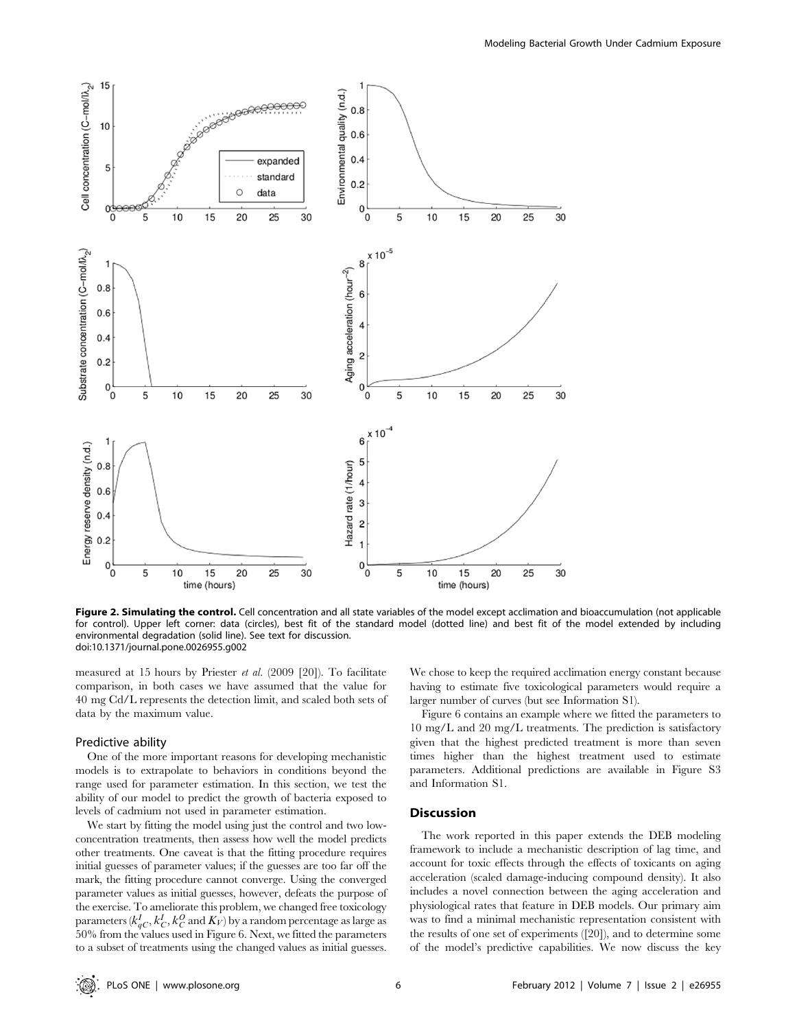

Figure 2. Simulating the control. Cell concentration and all state variables of the model except acclimation and bioaccumulation (not applicable for control). Upper left corner: data (circles), best fit of the standard model (dotted line) and best fit of the model extended by including environmental degradation (solid line). See text for discussion. doi:10.1371/journal.pone.0026955.g002

measured at 15 hours by Priester et al. (2009 [20]). To facilitate comparison, in both cases we have assumed that the value for 40 mg Cd/L represents the detection limit, and scaled both sets of data by the maximum value.

#### Predictive ability

One of the more important reasons for developing mechanistic models is to extrapolate to behaviors in conditions beyond the range used for parameter estimation. In this section, we test the ability of our model to predict the growth of bacteria exposed to levels of cadmium not used in parameter estimation.

We start by fitting the model using just the control and two lowconcentration treatments, then assess how well the model predicts other treatments. One caveat is that the fitting procedure requires initial guesses of parameter values; if the guesses are too far off the mark, the fitting procedure cannot converge. Using the converged parameter values as initial guesses, however, defeats the purpose of the exercise. To ameliorate this problem, we changed free toxicology parameters ( $k_{qC}^{I}, k_{C}^{I}, k_{C}^{O}$  and  $K_{V}$ ) by a random percentage as large as 50% from the values used in Figure 6. Next, we fitted the parameters to a subset of treatments using the changed values as initial guesses.

We chose to keep the required acclimation energy constant because having to estimate five toxicological parameters would require a larger number of curves (but see Information S1).

Figure 6 contains an example where we fitted the parameters to 10 mg/L and 20 mg/L treatments. The prediction is satisfactory given that the highest predicted treatment is more than seven times higher than the highest treatment used to estimate parameters. Additional predictions are available in Figure S3 and Information S1.

#### **Discussion**

The work reported in this paper extends the DEB modeling framework to include a mechanistic description of lag time, and account for toxic effects through the effects of toxicants on aging acceleration (scaled damage-inducing compound density). It also includes a novel connection between the aging acceleration and physiological rates that feature in DEB models. Our primary aim was to find a minimal mechanistic representation consistent with the results of one set of experiments ([20]), and to determine some of the model's predictive capabilities. We now discuss the key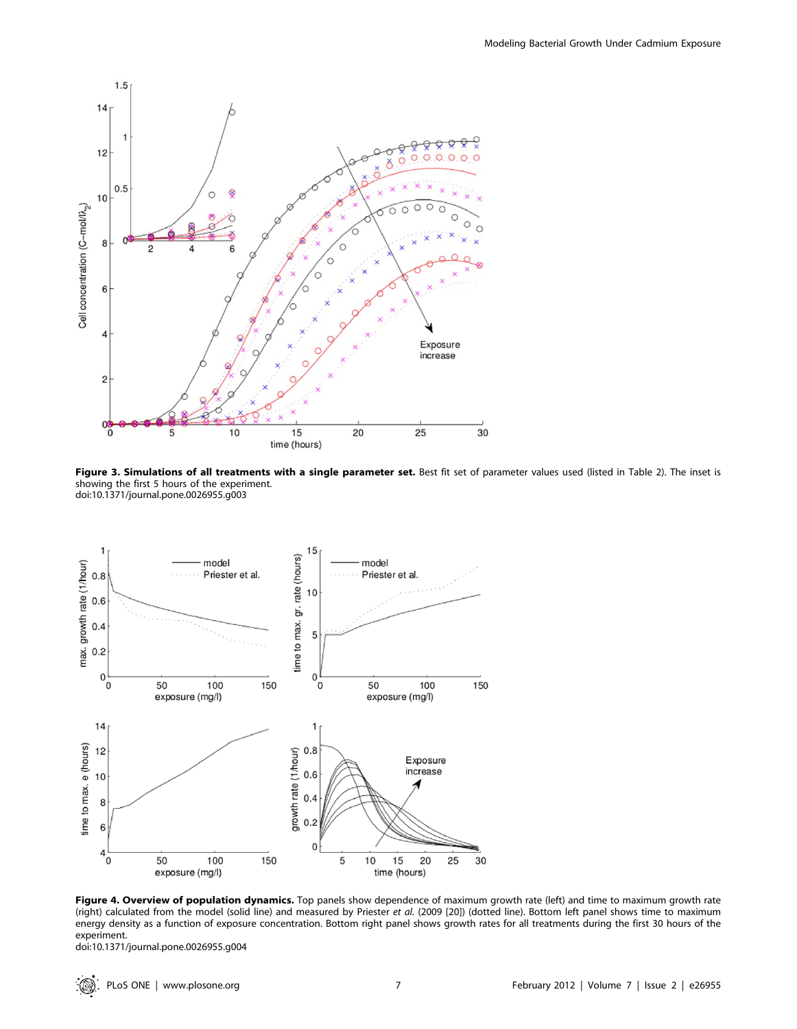

Figure 3. Simulations of all treatments with a single parameter set. Best fit set of parameter values used (listed in Table 2). The inset is showing the first 5 hours of the experiment. doi:10.1371/journal.pone.0026955.g003



Figure 4. Overview of population dynamics. Top panels show dependence of maximum growth rate (left) and time to maximum growth rate (right) calculated from the model (solid line) and measured by Priester et al. (2009 [20]) (dotted line). Bottom left panel shows time to maximum energy density as a function of exposure concentration. Bottom right panel shows growth rates for all treatments during the first 30 hours of the experiment.

doi:10.1371/journal.pone.0026955.g004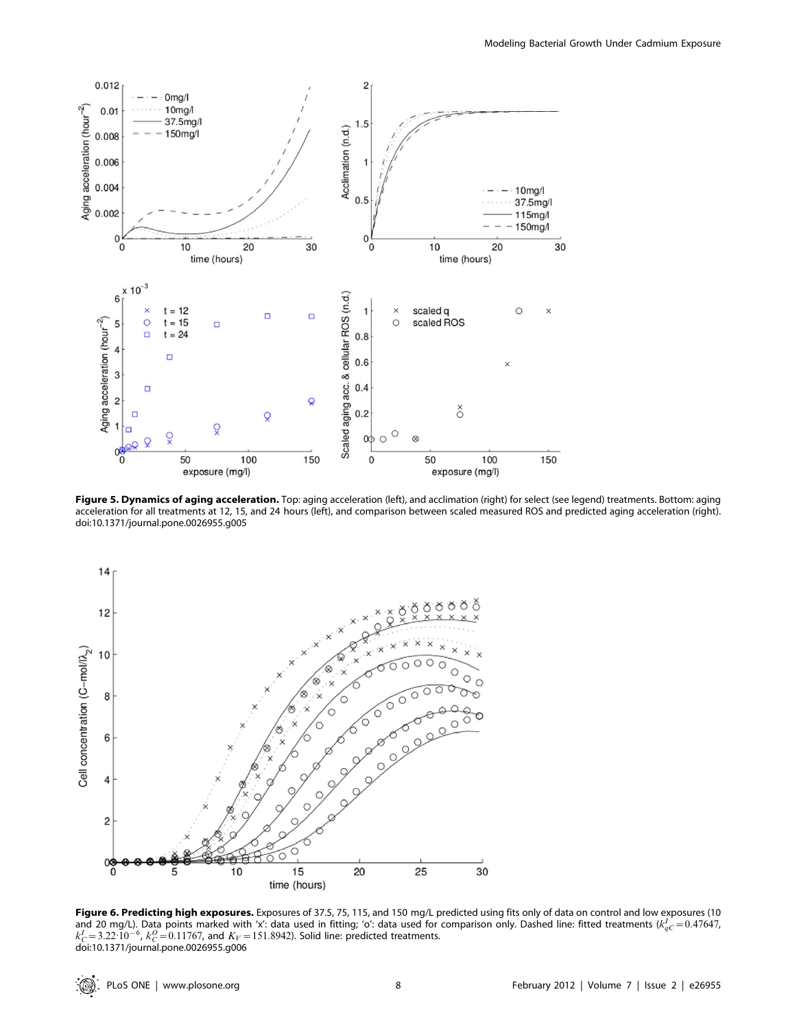

Figure 5. Dynamics of aging acceleration. Top: aging acceleration (left), and acclimation (right) for select (see legend) treatments. Bottom: aging acceleration for all treatments at 12, 15, and 24 hours (left), and comparison between scaled measured ROS and predicted aging acceleration (right). doi:10.1371/journal.pone.0026955.g005



Figure 6. Predicting high exposures. Exposures of 37.5, 75, 115, and 150 mg/L predicted using fits only of data on control and low exposures (10 and 20 mg/L). Data points marked with 'x': data used in fitting; 'o': data used for comparison only. Dashed line: fitted treatments ( $k_{qC}^I$  = 0.47647,  $k_C^I$  = 3.22:10<sup>-6</sup>,  $k_C^O$  = 0.11767, and  $K_V$  = 151.8942). Solid line: predicted treatments. doi:10.1371/journal.pone.0026955.g006

: © ∂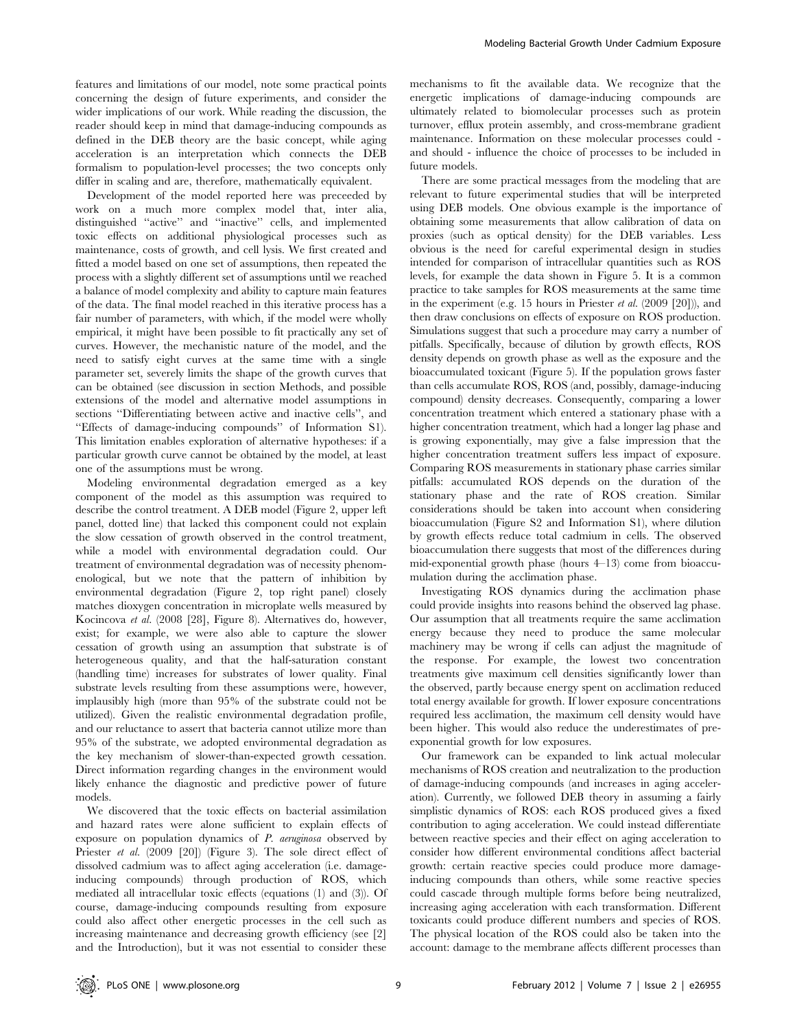features and limitations of our model, note some practical points concerning the design of future experiments, and consider the wider implications of our work. While reading the discussion, the reader should keep in mind that damage-inducing compounds as defined in the DEB theory are the basic concept, while aging acceleration is an interpretation which connects the DEB formalism to population-level processes; the two concepts only differ in scaling and are, therefore, mathematically equivalent.

Development of the model reported here was preceeded by work on a much more complex model that, inter alia, distinguished ''active'' and ''inactive'' cells, and implemented toxic effects on additional physiological processes such as maintenance, costs of growth, and cell lysis. We first created and fitted a model based on one set of assumptions, then repeated the process with a slightly different set of assumptions until we reached a balance of model complexity and ability to capture main features of the data. The final model reached in this iterative process has a fair number of parameters, with which, if the model were wholly empirical, it might have been possible to fit practically any set of curves. However, the mechanistic nature of the model, and the need to satisfy eight curves at the same time with a single parameter set, severely limits the shape of the growth curves that can be obtained (see discussion in section Methods, and possible extensions of the model and alternative model assumptions in sections ''Differentiating between active and inactive cells'', and ''Effects of damage-inducing compounds'' of Information S1). This limitation enables exploration of alternative hypotheses: if a particular growth curve cannot be obtained by the model, at least one of the assumptions must be wrong.

Modeling environmental degradation emerged as a key component of the model as this assumption was required to describe the control treatment. A DEB model (Figure 2, upper left panel, dotted line) that lacked this component could not explain the slow cessation of growth observed in the control treatment, while a model with environmental degradation could. Our treatment of environmental degradation was of necessity phenomenological, but we note that the pattern of inhibition by environmental degradation (Figure 2, top right panel) closely matches dioxygen concentration in microplate wells measured by Kocincova et al. (2008 [28], Figure 8). Alternatives do, however, exist; for example, we were also able to capture the slower cessation of growth using an assumption that substrate is of heterogeneous quality, and that the half-saturation constant (handling time) increases for substrates of lower quality. Final substrate levels resulting from these assumptions were, however, implausibly high (more than 95% of the substrate could not be utilized). Given the realistic environmental degradation profile, and our reluctance to assert that bacteria cannot utilize more than 95% of the substrate, we adopted environmental degradation as the key mechanism of slower-than-expected growth cessation. Direct information regarding changes in the environment would likely enhance the diagnostic and predictive power of future models.

We discovered that the toxic effects on bacterial assimilation and hazard rates were alone sufficient to explain effects of exposure on population dynamics of P. aeruginosa observed by Priester et al. (2009 [20]) (Figure 3). The sole direct effect of dissolved cadmium was to affect aging acceleration (i.e. damageinducing compounds) through production of ROS, which mediated all intracellular toxic effects (equations (1) and (3)). Of course, damage-inducing compounds resulting from exposure could also affect other energetic processes in the cell such as increasing maintenance and decreasing growth efficiency (see [2] and the Introduction), but it was not essential to consider these

mechanisms to fit the available data. We recognize that the energetic implications of damage-inducing compounds are ultimately related to biomolecular processes such as protein turnover, efflux protein assembly, and cross-membrane gradient maintenance. Information on these molecular processes could and should - influence the choice of processes to be included in future models.

There are some practical messages from the modeling that are relevant to future experimental studies that will be interpreted using DEB models. One obvious example is the importance of obtaining some measurements that allow calibration of data on proxies (such as optical density) for the DEB variables. Less obvious is the need for careful experimental design in studies intended for comparison of intracellular quantities such as ROS levels, for example the data shown in Figure 5. It is a common practice to take samples for ROS measurements at the same time in the experiment (e.g. 15 hours in Priester et al. (2009 [20])), and then draw conclusions on effects of exposure on ROS production. Simulations suggest that such a procedure may carry a number of pitfalls. Specifically, because of dilution by growth effects, ROS density depends on growth phase as well as the exposure and the bioaccumulated toxicant (Figure 5). If the population grows faster than cells accumulate ROS, ROS (and, possibly, damage-inducing compound) density decreases. Consequently, comparing a lower concentration treatment which entered a stationary phase with a higher concentration treatment, which had a longer lag phase and is growing exponentially, may give a false impression that the higher concentration treatment suffers less impact of exposure. Comparing ROS measurements in stationary phase carries similar pitfalls: accumulated ROS depends on the duration of the stationary phase and the rate of ROS creation. Similar considerations should be taken into account when considering bioaccumulation (Figure S2 and Information S1), where dilution by growth effects reduce total cadmium in cells. The observed bioaccumulation there suggests that most of the differences during mid-exponential growth phase (hours 4–13) come from bioaccumulation during the acclimation phase.

Investigating ROS dynamics during the acclimation phase could provide insights into reasons behind the observed lag phase. Our assumption that all treatments require the same acclimation energy because they need to produce the same molecular machinery may be wrong if cells can adjust the magnitude of the response. For example, the lowest two concentration treatments give maximum cell densities significantly lower than the observed, partly because energy spent on acclimation reduced total energy available for growth. If lower exposure concentrations required less acclimation, the maximum cell density would have been higher. This would also reduce the underestimates of preexponential growth for low exposures.

Our framework can be expanded to link actual molecular mechanisms of ROS creation and neutralization to the production of damage-inducing compounds (and increases in aging acceleration). Currently, we followed DEB theory in assuming a fairly simplistic dynamics of ROS: each ROS produced gives a fixed contribution to aging acceleration. We could instead differentiate between reactive species and their effect on aging acceleration to consider how different environmental conditions affect bacterial growth: certain reactive species could produce more damageinducing compounds than others, while some reactive species could cascade through multiple forms before being neutralized, increasing aging acceleration with each transformation. Different toxicants could produce different numbers and species of ROS. The physical location of the ROS could also be taken into the account: damage to the membrane affects different processes than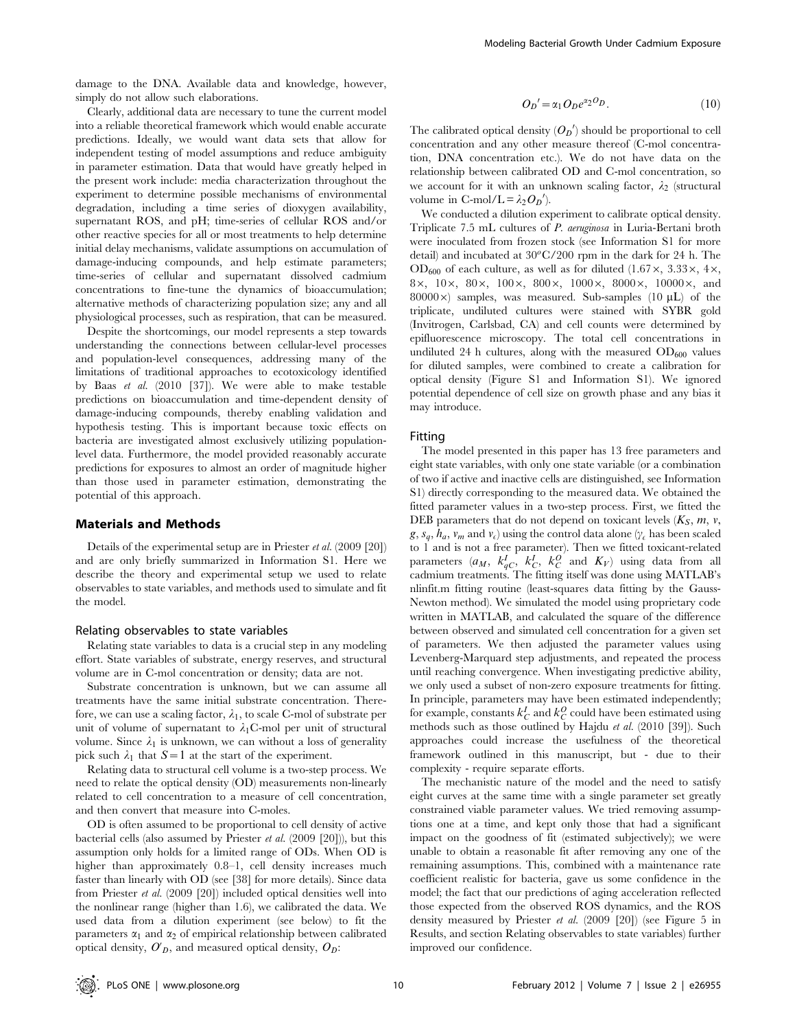Clearly, additional data are necessary to tune the current model into a reliable theoretical framework which would enable accurate predictions. Ideally, we would want data sets that allow for independent testing of model assumptions and reduce ambiguity in parameter estimation. Data that would have greatly helped in the present work include: media characterization throughout the experiment to determine possible mechanisms of environmental degradation, including a time series of dioxygen availability, supernatant ROS, and pH; time-series of cellular ROS and/or other reactive species for all or most treatments to help determine initial delay mechanisms, validate assumptions on accumulation of damage-inducing compounds, and help estimate parameters; time-series of cellular and supernatant dissolved cadmium concentrations to fine-tune the dynamics of bioaccumulation; alternative methods of characterizing population size; any and all physiological processes, such as respiration, that can be measured.

Despite the shortcomings, our model represents a step towards understanding the connections between cellular-level processes and population-level consequences, addressing many of the limitations of traditional approaches to ecotoxicology identified by Baas et al. (2010 [37]). We were able to make testable predictions on bioaccumulation and time-dependent density of damage-inducing compounds, thereby enabling validation and hypothesis testing. This is important because toxic effects on bacteria are investigated almost exclusively utilizing populationlevel data. Furthermore, the model provided reasonably accurate predictions for exposures to almost an order of magnitude higher than those used in parameter estimation, demonstrating the potential of this approach.

## Materials and Methods

Details of the experimental setup are in Priester et al. (2009 [20]) and are only briefly summarized in Information S1. Here we describe the theory and experimental setup we used to relate observables to state variables, and methods used to simulate and fit the model.

## Relating observables to state variables

Relating state variables to data is a crucial step in any modeling effort. State variables of substrate, energy reserves, and structural volume are in C-mol concentration or density; data are not.

Substrate concentration is unknown, but we can assume all treatments have the same initial substrate concentration. Therefore, we can use a scaling factor,  $\lambda_1$ , to scale C-mol of substrate per unit of volume of supernatant to  $\lambda_1$ C-mol per unit of structural volume. Since  $\lambda_1$  is unknown, we can without a loss of generality pick such  $\lambda_1$  that  $S=1$  at the start of the experiment.

Relating data to structural cell volume is a two-step process. We need to relate the optical density (OD) measurements non-linearly related to cell concentration to a measure of cell concentration, and then convert that measure into C-moles.

OD is often assumed to be proportional to cell density of active bacterial cells (also assumed by Priester et al. (2009 [20])), but this assumption only holds for a limited range of ODs. When OD is higher than approximately 0.8–1, cell density increases much faster than linearly with OD (see [38] for more details). Since data from Priester et al. (2009 [20]) included optical densities well into the nonlinear range (higher than 1.6), we calibrated the data. We used data from a dilution experiment (see below) to fit the parameters  $\alpha_1$  and  $\alpha_2$  of empirical relationship between calibrated optical density,  $O_D$ , and measured optical density,  $O_D$ :

$$
O_D' = \alpha_1 O_D e^{\alpha_2 O_D}.
$$
\n(10)

The calibrated optical density  $(O_D')$  should be proportional to cell concentration and any other measure thereof (C-mol concentration, DNA concentration etc.). We do not have data on the relationship between calibrated OD and C-mol concentration, so we account for it with an unknown scaling factor,  $\lambda_2$  (structural volume in C-mol/L =  $\lambda_2 O_D'$ .

We conducted a dilution experiment to calibrate optical density. Triplicate 7.5 mL cultures of P. aeruginosa in Luria-Bertani broth were inoculated from frozen stock (see Information S1 for more detail) and incubated at  $30^{\circ}$ C/200 rpm in the dark for 24 h. The OD<sub>600</sub> of each culture, as well as for diluted  $(1.67\times, 3.33\times, 4\times,$ 8 $\times$ , 10 $\times$ , 80 $\times$ , 100 $\times$ , 800 $\times$ , 1000 $\times$ , 10000 $\times$ , and 80000 $\times$ ) samples, was measured. Sub-samples (10  $\mu$ L) of the triplicate, undiluted cultures were stained with SYBR gold (Invitrogen, Carlsbad, CA) and cell counts were determined by epifluorescence microscopy. The total cell concentrations in undiluted 24 h cultures, along with the measured  $OD_{600}$  values for diluted samples, were combined to create a calibration for optical density (Figure S1 and Information S1). We ignored potential dependence of cell size on growth phase and any bias it may introduce.

### Fitting

The model presented in this paper has 13 free parameters and eight state variables, with only one state variable (or a combination of two if active and inactive cells are distinguished, see Information S1) directly corresponding to the measured data. We obtained the fitted parameter values in a two-step process. First, we fitted the DEB parameters that do not depend on toxicant levels  $(K_S, m, v,$  $g, s_a, h_a, v_m$  and  $v_\epsilon$ ) using the control data alone ( $v_\epsilon$  has been scaled to 1 and is not a free parameter). Then we fitted toxicant-related parameters (a<sub>M</sub>,  $k_{qC}^{I}$ ,  $k_{C}^{I}$ ,  $k_{C}^{O}$  and  $K_{V}$ ) using data from all cadmium treatments. The fitting itself was done using MATLAB's nlinfit.m fitting routine (least-squares data fitting by the Gauss-Newton method). We simulated the model using proprietary code written in MATLAB, and calculated the square of the difference between observed and simulated cell concentration for a given set of parameters. We then adjusted the parameter values using Levenberg-Marquard step adjustments, and repeated the process until reaching convergence. When investigating predictive ability, we only used a subset of non-zero exposure treatments for fitting. In principle, parameters may have been estimated independently; for example, constants  $k_C^I$  and  $k_C^O$  could have been estimated using methods such as those outlined by Hajdu et al. (2010 [39]). Such approaches could increase the usefulness of the theoretical framework outlined in this manuscript, but - due to their complexity - require separate efforts.

The mechanistic nature of the model and the need to satisfy eight curves at the same time with a single parameter set greatly constrained viable parameter values. We tried removing assumptions one at a time, and kept only those that had a significant impact on the goodness of fit (estimated subjectively); we were unable to obtain a reasonable fit after removing any one of the remaining assumptions. This, combined with a maintenance rate coefficient realistic for bacteria, gave us some confidence in the model; the fact that our predictions of aging acceleration reflected those expected from the observed ROS dynamics, and the ROS density measured by Priester et al. (2009 [20]) (see Figure 5 in Results, and section Relating observables to state variables) further improved our confidence.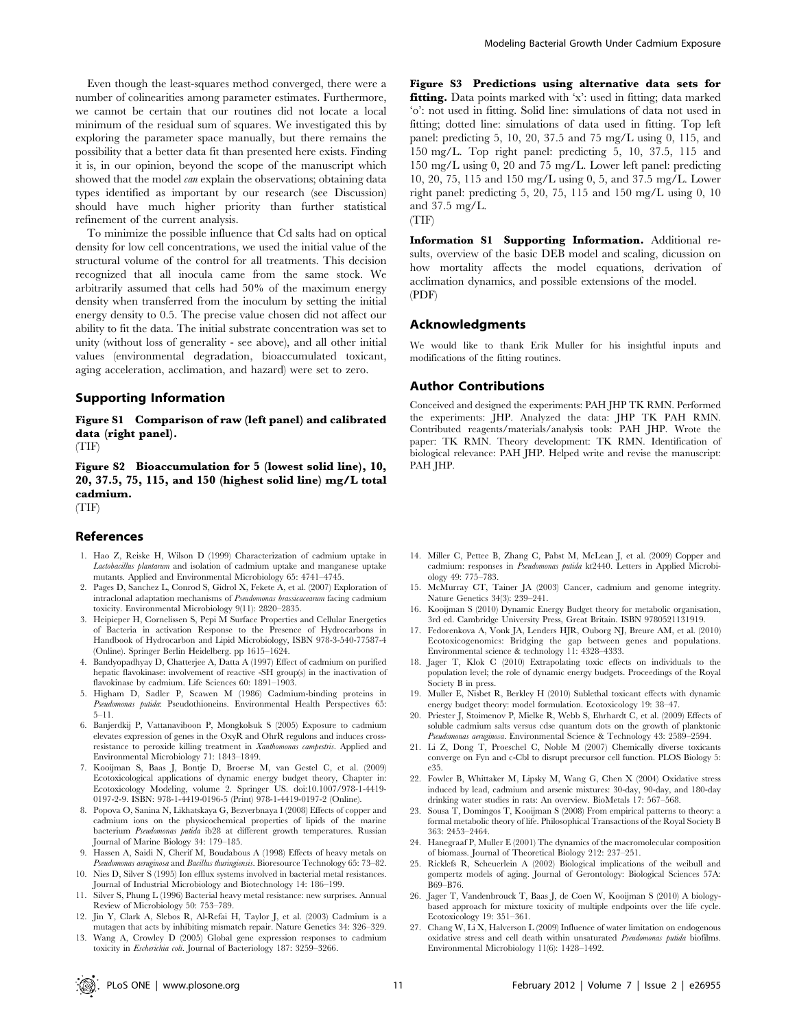Even though the least-squares method converged, there were a number of colinearities among parameter estimates. Furthermore, we cannot be certain that our routines did not locate a local minimum of the residual sum of squares. We investigated this by exploring the parameter space manually, but there remains the possibility that a better data fit than presented here exists. Finding it is, in our opinion, beyond the scope of the manuscript which showed that the model can explain the observations; obtaining data types identified as important by our research (see Discussion) should have much higher priority than further statistical refinement of the current analysis.

To minimize the possible influence that Cd salts had on optical density for low cell concentrations, we used the initial value of the structural volume of the control for all treatments. This decision recognized that all inocula came from the same stock. We arbitrarily assumed that cells had 50% of the maximum energy density when transferred from the inoculum by setting the initial energy density to 0.5. The precise value chosen did not affect our ability to fit the data. The initial substrate concentration was set to unity (without loss of generality - see above), and all other initial values (environmental degradation, bioaccumulated toxicant, aging acceleration, acclimation, and hazard) were set to zero.

## Supporting Information

Figure S1 Comparison of raw (left panel) and calibrated data (right panel).

(TIF)

Figure S2 Bioaccumulation for 5 (lowest solid line), 10, 20, 37.5, 75, 115, and 150 (highest solid line) mg/L total cadmium. (TIF)

#### References

- 1. Hao Z, Reiske H, Wilson D (1999) Characterization of cadmium uptake in Lactobacillus plantarum and isolation of cadmium uptake and manganese uptake mutants. Applied and Environmental Microbiology 65: 4741–4745.
- 2. Pages D, Sanchez L, Conrod S, Gidrol X, Fekete A, et al. (2007) Exploration of intraclonal adaptation mechanisms of Pseudomonas brassicacearum facing cadmium toxicity. Environmental Microbiology 9(11): 2820–2835.
- 3. Heipieper H, Cornelissen S, Pepi M Surface Properties and Cellular Energetics of Bacteria in activation Response to the Presence of Hydrocarbons in Handbook of Hydrocarbon and Lipid Microbiology, ISBN 978-3-540-77587-4 (Online). Springer Berlin Heidelberg. pp 1615–1624.
- 4. Bandyopadhyay D, Chatterjee A, Datta A (1997) Effect of cadmium on purified hepatic flavokinase: involvement of reactive -SH group(s) in the inactivation of flavokinase by cadmium. Life Sciences 60: 1891–1903.
- 5. Higham D, Sadler P, Scawen M (1986) Cadmium-binding proteins in Pseudomonas putida: Pseudothioneins. Environmental Health Perspectives 65: 5–11.
- 6. Banjerdkij P, Vattanaviboon P, Mongkolsuk S (2005) Exposure to cadmium elevates expression of genes in the OxyR and OhrR regulons and induces crossresistance to peroxide killing treatment in Xanthomonas campestris. Applied and Environmental Microbiology 71: 1843–1849.
- 7. Kooijman S, Baas J, Bontje D, Broerse M, van Gestel C, et al. (2009) Ecotoxicological applications of dynamic energy budget theory, Chapter in: Ecotoxicology Modeling, volume 2. Springer US. doi:10.1007/978-1-4419- 0197-2-9. ISBN: 978-1-4419-0196-5 (Print) 978-1-4419-0197-2 (Online).
- 8. Popova O, Sanina N, Likhatskaya G, Bezverbnaya I (2008) Effects of copper and cadmium ions on the physicochemical properties of lipids of the marine bacterium Pseudomonas putida ib28 at different growth temperatures. Russian Journal of Marine Biology 34: 179–185.
- 9. Hassen A, Saidi N, Cherif M, Boudabous A (1998) Effects of heavy metals on Pseudomonas aeruginosa and Bacillus thuringiensis. Bioresource Technology 65: 73–82.
- 10. Nies D, Silver S (1995) Ion efflux systems involved in bacterial metal resistances. Journal of Industrial Microbiology and Biotechnology 14: 186–199.
- 11. Silver S, Phung L (1996) Bacterial heavy metal resistance: new surprises. Annual Review of Microbiology 50: 753–789.
- 12. Jin Y, Clark A, Slebos R, Al-Refai H, Taylor J, et al. (2003) Cadmium is a mutagen that acts by inhibiting mismatch repair. Nature Genetics 34: 326–329.
- 13. Wang A, Crowley D (2005) Global gene expression responses to cadmium toxicity in Escherichia coli. Journal of Bacteriology 187: 3259–3266.

Figure S3 Predictions using alternative data sets for **fitting.** Data points marked with 'x': used in fitting; data marked 'o': not used in fitting. Solid line: simulations of data not used in fitting; dotted line: simulations of data used in fitting. Top left panel: predicting 5, 10, 20, 37.5 and 75 mg/L using 0, 115, and 150 mg/L. Top right panel: predicting 5, 10, 37.5, 115 and 150 mg/L using 0, 20 and 75 mg/L. Lower left panel: predicting 10, 20, 75, 115 and 150 mg/L using 0, 5, and 37.5 mg/L. Lower right panel: predicting 5, 20, 75, 115 and 150 mg/L using 0, 10 and 37.5 mg/L.



Information S1 Supporting Information. Additional results, overview of the basic DEB model and scaling, dicussion on how mortality affects the model equations, derivation of acclimation dynamics, and possible extensions of the model. (PDF)

## Acknowledgments

We would like to thank Erik Muller for his insightful inputs and modifications of the fitting routines.

#### Author Contributions

Conceived and designed the experiments: PAH JHP TK RMN. Performed the experiments: JHP. Analyzed the data: JHP TK PAH RMN. Contributed reagents/materials/analysis tools: PAH JHP. Wrote the paper: TK RMN. Theory development: TK RMN. Identification of biological relevance: PAH JHP. Helped write and revise the manuscript: PAH **IHP**.

- 14. Miller C, Pettee B, Zhang C, Pabst M, McLean J, et al. (2009) Copper and cadmium: responses in Pseudomonas putida kt2440. Letters in Applied Microbiology 49: 775–783.
- 15. McMurray CT, Tainer JA (2003) Cancer, cadmium and genome integrity. Nature Genetics 34(3): 239–241.
- 16. Kooijman S (2010) Dynamic Energy Budget theory for metabolic organisation, 3rd ed. Cambridge University Press, Great Britain. ISBN 9780521131919.
- 17. Fedorenkova A, Vonk JA, Lenders HJR, Ouborg NJ, Breure AM, et al. (2010) Ecotoxicogenomics: Bridging the gap between genes and populations. Environmental science & technology 11: 4328–4333.
- 18. Jager T, Klok C (2010) Extrapolating toxic effects on individuals to the population level; the role of dynamic energy budgets. Proceedings of the Royal Society B in press.
- 19. Muller E, Nisbet R, Berkley H (2010) Sublethal toxicant effects with dynamic energy budget theory: model formulation. Ecotoxicology 19: 38–47.
- 20. Priester J, Stoimenov P, Mielke R, Webb S, Ehrhardt C, et al. (2009) Effects of soluble cadmium salts versus cdse quantum dots on the growth of planktonic Pseudomonas aeruginosa. Environmental Science & Technology 43: 2589–2594.
- 21. Li Z, Dong T, Proeschel C, Noble M (2007) Chemically diverse toxicants converge on Fyn and c-Cbl to disrupt precursor cell function. PLOS Biology 5: e35.
- 22. Fowler B, Whittaker M, Lipsky M, Wang G, Chen X (2004) Oxidative stress induced by lead, cadmium and arsenic mixtures: 30-day, 90-day, and 180-day drinking water studies in rats: An overview. BioMetals 17: 567–568.
- 23. Sousa T, Domingos T, Kooijman S (2008) From empirical patterns to theory: a formal metabolic theory of life. Philosophical Transactions of the Royal Society B 363: 2453–2464.
- 24. Hanegraaf P, Muller E (2001) The dynamics of the macromolecular composition of biomass. Journal of Theoretical Biology 212: 237–251.
- 25. Ricklefs R, Scheuerlein A (2002) Biological implications of the weibull and gompertz models of aging. Journal of Gerontology: Biological Sciences 57A: B69–B76.
- 26. Jager T, Vandenbrouck T, Baas J, de Coen W, Kooijman S (2010) A biologybased approach for mixture toxicity of multiple endpoints over the life cycle. Ecotoxicology 19: 351–361.
- 27. Chang W, Li X, Halverson L (2009) Influence of water limitation on endogenous oxidative stress and cell death within unsaturated Pseudomonas putida biofilms. Environmental Microbiology 11(6): 1428–1492.